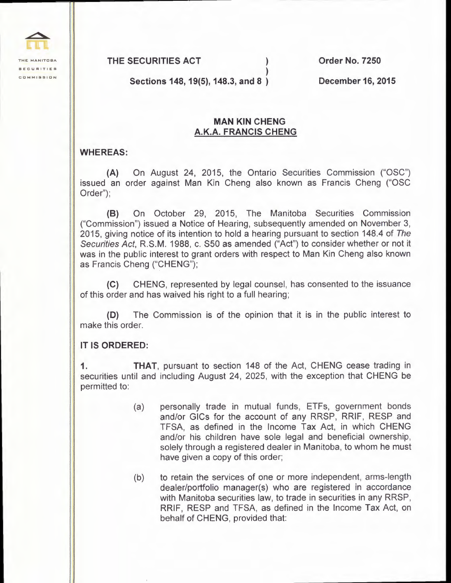

**THE SECURITIES ACT** ) **Order No. 7250** 

**Sections 148, 19(5), 148.3, and 8** )

**December 16, 2015** 

## **MAN KIN CHENG A.K.A. FRANCIS CHENG**

)

## **WHEREAS:**

**(A)** On August 24, 2015, the Ontario Securities Commission ("OSC") issued an order against Man Kin Cheng also known as Francis Cheng ("OSC Order");

**(B)** On October 29, 2015, The Manitoba Securities Commission ("Commission") issued a Notice of Hearing, subsequently amended on November 3, 2015, giving notice of its intention to hold a hearing pursuant to section 148.4 of The Securities Act, R.S.M. 1988, c. S50 as amended ("Act") to consider whether or not it was in the public interest to grant orders with respect to Man Kin Cheng also known as Francis Cheng ("CHENG");

**(C)** CHENG, represented by legal counsel, has consented to the issuance of this order and has waived his right to a full hearing;

**(D)** The Commission is of the opinion that it is in the public interest to make this order.

## **IT IS ORDERED:**

**1. THAT,** pursuant to section 148 of the Act, CHENG cease trading in securities until and including August 24, 2025, with the exception that CHENG be permitted to:

- (a) personally trade in mutual funds, ETFs, government bonds and/or GICs for the account of any RRSP, RRIF, RESP and TFSA, as defined in the Income Tax Act, in which CHENG and/or his children have sole legal and beneficial ownership, solely through a registered dealer in Manitoba, to whom he must have given a copy of this order;
- (b) to retain the services of one or more independent, arms-length dealer/portfolio manager(s) who are registered in accordance with Manitoba securities law, to trade in securities in any RRSP, RRIF, RESP and TFSA, as defined in the Income Tax Act, on behalf of CHENG, provided that: